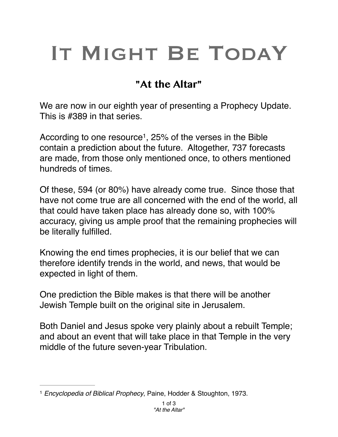## IT MIGHT BE TODAY

## **"At the Altar"**

We are now in our eighth year of presenting a Prophecy Update. This is #389 in that series.

According to one resource<sup>1</sup>, 25% of the verses in the Bible contain a prediction about the future. Altogether, 737 forecasts are made, from those only mentioned once, to others mentioned hundreds of times.

Of these, 594 (or 80%) have already come true. Since those that have not come true are all concerned with the end of the world, all that could have taken place has already done so, with 100% accuracy, giving us ample proof that the remaining prophecies will be literally fulfilled.

Knowing the end times prophecies, it is our belief that we can therefore identify trends in the world, and news, that would be expected in light of them.

One prediction the Bible makes is that there will be another Jewish Temple built on the original site in Jerusalem.

Both Daniel and Jesus spoke very plainly about a rebuilt Temple; and about an event that will take place in that Temple in the very middle of the future seven-year Tribulation.

<sup>&</sup>lt;sup>1</sup> Encyclopedia of Biblical Prophecy, Paine, Hodder & Stoughton, 1973.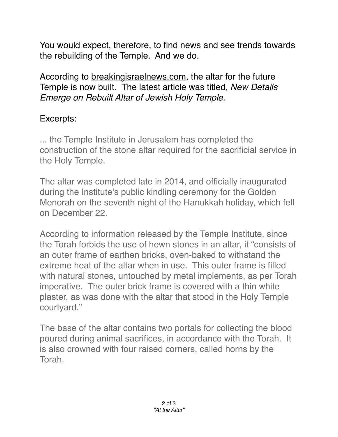You would expect, therefore, to find news and see trends towards the rebuilding of the Temple. And we do.

According to [breakingisraelnews.com](http://breakingisraelnews.com), the altar for the future Temple is now built. The latest article was titled, *New Details Emerge on Rebuilt Altar of Jewish Holy Temple.*

## Excerpts:

... the Temple Institute in Jerusalem has completed the construction of the stone altar required for the sacrificial service in the Holy Temple.

The altar was completed late in 2014, and officially inaugurated during the Institute's public kindling ceremony for the Golden Menorah on the seventh night of the Hanukkah holiday, which fell on December 22.

According to information released by the Temple Institute, since the Torah forbids the use of hewn stones in an altar, it "consists of an outer frame of earthen bricks, oven-baked to withstand the extreme heat of the altar when in use. This outer frame is filled with natural stones, untouched by metal implements, as per Torah imperative. The outer brick frame is covered with a thin white plaster, as was done with the altar that stood in the Holy Temple courtyard."

The base of the altar contains two portals for collecting the blood poured during animal sacrifices, in accordance with the Torah. It is also crowned with four raised corners, called horns by the Torah.